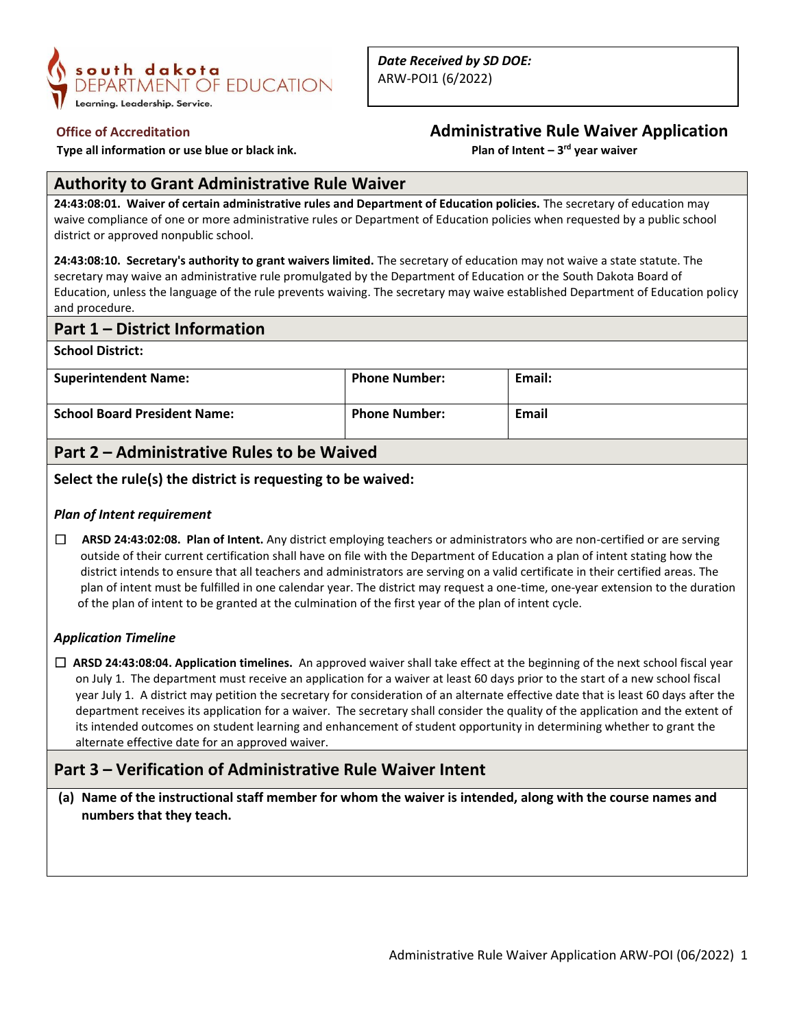

 **Type all information or use blue or black ink.** 

# **Office of Accreditation Administrative Rule Waiver Application**

Plan of Intent - 3<sup>rd</sup> year waiver

## **Authority to Grant Administrative Rule Waiver**

**24:43:08:01. Waiver of certain administrative rules and Department of Education policies.** The secretary of education may waive compliance of one or more administrative rules or Department of Education policies when requested by a public school district or approved nonpublic school.

**24:43:08:10. Secretary's authority to grant waivers limited.** The secretary of education may not waive a state statute. The secretary may waive an administrative rule promulgated by the Department of Education or the South Dakota Board of Education, unless the language of the rule prevents waiving. The secretary may waive established Department of Education policy and procedure.

## **Part 1 – District Information**

**School District:**

| <b>Superintendent Name:</b>         | <b>Phone Number:</b> | Email: |
|-------------------------------------|----------------------|--------|
| <b>School Board President Name:</b> | <b>Phone Number:</b> | Email  |

# **Part 2 – Administrative Rules to be Waived**

### **Select the rule(s) the district is requesting to be waived:**

#### *Plan of Intent requirement*

☐ **ARSD 24:43:02:08. Plan of Intent.** Any district employing teachers or administrators who are non-certified or are serving outside of their current certification shall have on file with the Department of Education a plan of intent stating how the district intends to ensure that all teachers and administrators are serving on a valid certificate in their certified areas. The plan of intent must be fulfilled in one calendar year. The district may request a one-time, one-year extension to the duration of the plan of intent to be granted at the culmination of the first year of the plan of intent cycle.

## *Application Timeline*

☐ **ARSD 24:43:08:04. Application timelines.** An approved waiver shall take effect at the beginning of the next school fiscal year on July 1. The department must receive an application for a waiver at least 60 days prior to the start of a new school fiscal year July 1. A district may petition the secretary for consideration of an alternate effective date that is least 60 days after the department receives its application for a waiver. The secretary shall consider the quality of the application and the extent of its intended outcomes on student learning and enhancement of student opportunity in determining whether to grant the alternate effective date for an approved waiver.

# **Part 3 – Verification of Administrative Rule Waiver Intent**

**(a) Name of the instructional staff member for whom the waiver is intended, along with the course names and numbers that they teach.**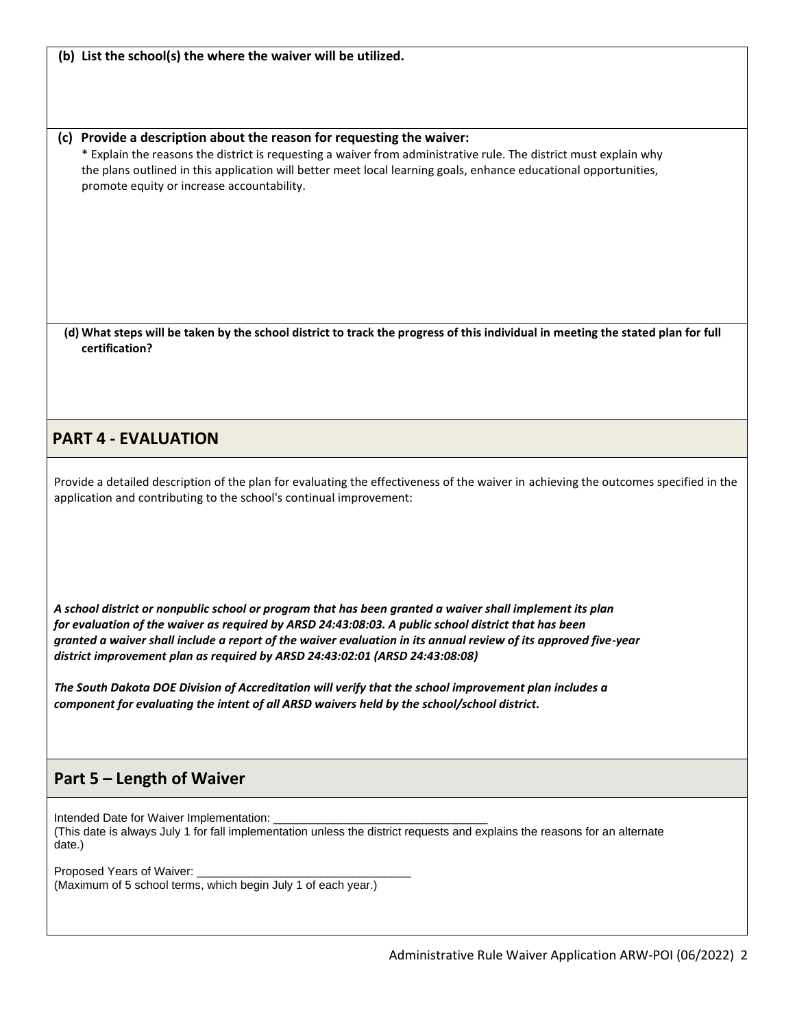**(b) List the school(s) the where the waiver will be utilized.**

#### **(c) Provide a description about the reason for requesting the waiver:**

\* Explain the reasons the district is requesting a waiver from administrative rule. The district must explain why the plans outlined in this application will better meet local learning goals, enhance educational opportunities, promote equity or increase accountability.

**(d) What steps will be taken by the school district to track the progress of this individual in meeting the stated plan for full certification?**

## **PART 4 - EVALUATION**

Provide a detailed description of the plan for evaluating the effectiveness of the waiver in achieving the outcomes specified in the application and contributing to the school's continual improvement:

*A school district or nonpublic school or program that has been granted a waiver shall implement its plan for evaluation of the waiver as required by ARSD 24:43:08:03. A public school district that has been granted a waiver shall include a report of the waiver evaluation in its annual review of its approved five-year district improvement plan as required by ARSD 24:43:02:01 (ARSD 24:43:08:08)*

*The South Dakota DOE Division of Accreditation will verify that the school improvement plan includes a component for evaluating the intent of all ARSD waivers held by the school/school district.*

# **Part 5 – Length of Waiver**

Intended Date for Waiver Implementation: (This date is always July 1 for fall implementation unless the district requests and explains the reasons for an alternate date.)

Proposed Years of Waiver: (Maximum of 5 school terms, which begin July 1 of each year.)